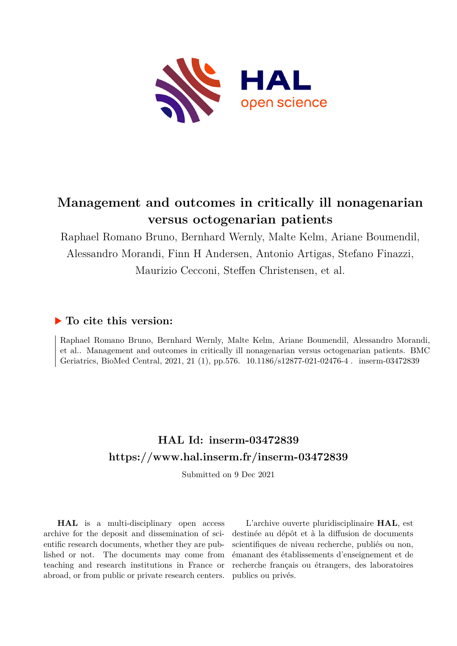

# **Management and outcomes in critically ill nonagenarian versus octogenarian patients**

Raphael Romano Bruno, Bernhard Wernly, Malte Kelm, Ariane Boumendil, Alessandro Morandi, Finn H Andersen, Antonio Artigas, Stefano Finazzi, Maurizio Cecconi, Steffen Christensen, et al.

## **To cite this version:**

Raphael Romano Bruno, Bernhard Wernly, Malte Kelm, Ariane Boumendil, Alessandro Morandi, et al.. Management and outcomes in critically ill nonagenarian versus octogenarian patients. BMC Geriatrics, BioMed Central, 2021, 21 (1), pp.576. 10.1186/s12877-021-02476-4. inserm-03472839

# **HAL Id: inserm-03472839 <https://www.hal.inserm.fr/inserm-03472839>**

Submitted on 9 Dec 2021

**HAL** is a multi-disciplinary open access archive for the deposit and dissemination of scientific research documents, whether they are published or not. The documents may come from teaching and research institutions in France or abroad, or from public or private research centers.

L'archive ouverte pluridisciplinaire **HAL**, est destinée au dépôt et à la diffusion de documents scientifiques de niveau recherche, publiés ou non, émanant des établissements d'enseignement et de recherche français ou étrangers, des laboratoires publics ou privés.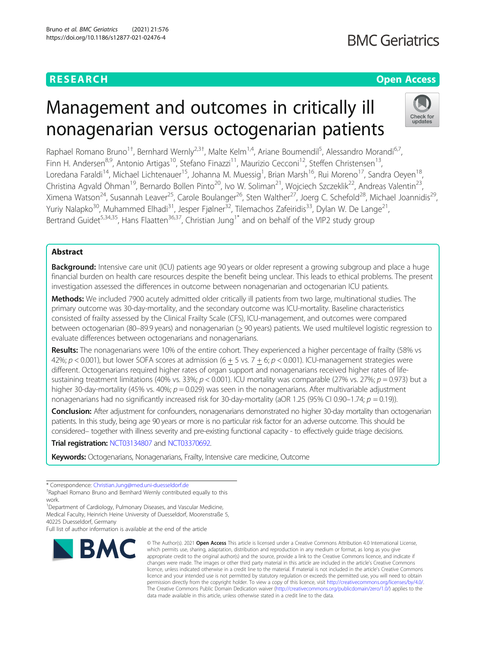## **RESEARCH CHEAR CHEAR CHEAR CHEAR CHEAR CHEAR CHEAR CHEAR CHEAR CHEAR CHEAR CHEAR CHEAR CHEAR CHEAR CHEAR CHEAR**

# **BMC Geriatrics**

# Management and outcomes in critically ill nonagenarian versus octogenarian patients



Raphael Romano Bruno<sup>1†</sup>, Bernhard Wernly<sup>2,3†</sup>, Malte Kelm<sup>1,4</sup>, Ariane Boumendil<sup>5</sup>, Alessandro Morandi<sup>6,7</sup>, Finn H. Andersen<sup>8,9</sup>, Antonio Artigas<sup>10</sup>, Stefano Finazzi<sup>11</sup>, Maurizio Cecconi<sup>12</sup>, Steffen Christensen<sup>13</sup>, Loredana Faraldi<sup>14</sup>, Michael Lichtenauer<sup>15</sup>, Johanna M. Muessig<sup>1</sup>, Brian Marsh<sup>16</sup>, Rui Moreno<sup>17</sup>, Sandra Oeyen<sup>18</sup>, Christina Agvald Öhman<sup>19</sup>, Bernardo Bollen Pinto<sup>20</sup>, Ivo W. Soliman<sup>21</sup>, Wojciech Szczeklik<sup>22</sup>, Andreas Valentin<sup>23</sup>, Ximena Watson<sup>24</sup>, Susannah Leaver<sup>25</sup>, Carole Boulanger<sup>26</sup>, Sten Walther<sup>27</sup>, Joerg C. Schefold<sup>28</sup>, Michael Joannidis<sup>29</sup>, Yuriy Nalapko<sup>30</sup>, Muhammed Elhadi<sup>31</sup>, Jesper Fjølner<sup>32</sup>, Tilemachos Zafeiridis<sup>33</sup>, Dylan W. De Lange<sup>21</sup>, Bertrand Guidet<sup>5,34,35</sup>, Hans Flaatten<sup>36,37</sup>, Christian Jung<sup>1\*</sup> and on behalf of the VIP2 study group

## Abstract

**Background:** Intensive care unit (ICU) patients age 90 years or older represent a growing subgroup and place a huge financial burden on health care resources despite the benefit being unclear. This leads to ethical problems. The present investigation assessed the differences in outcome between nonagenarian and octogenarian ICU patients.

Methods: We included 7900 acutely admitted older critically ill patients from two large, multinational studies. The primary outcome was 30-day-mortality, and the secondary outcome was ICU-mortality. Baseline characteristics consisted of frailty assessed by the Clinical Frailty Scale (CFS), ICU-management, and outcomes were compared between octogenarian (80–89.9 years) and nonagenarian (> 90 years) patients. We used multilevel logistic regression to evaluate differences between octogenarians and nonagenarians.

Results: The nonagenarians were 10% of the entire cohort. They experienced a higher percentage of frailty (58% vs 42%;  $p < 0.001$ ), but lower SOFA scores at admission (6 + 5 vs. 7 + 6;  $p < 0.001$ ). ICU-management strategies were different. Octogenarians required higher rates of organ support and nonagenarians received higher rates of lifesustaining treatment limitations (40% vs. 33%;  $p < 0.001$ ). ICU mortality was comparable (27% vs. 27%;  $p = 0.973$ ) but a higher 30-day-mortality (45% vs. 40%;  $p = 0.029$ ) was seen in the nonagenarians. After multivariable adjustment nonagenarians had no significantly increased risk for 30-day-mortality (aOR 1.25 (95% CI 0.90–1.74;  $p = 0.19$ )).

Conclusion: After adjustment for confounders, nonagenarians demonstrated no higher 30-day mortality than octogenarian patients. In this study, being age 90 years or more is no particular risk factor for an adverse outcome. This should be considered– together with illness severity and pre-existing functional capacity - to effectively guide triage decisions.

## Trial registration: [NCT03134807](https://www.clinicaltrials.gov/ct2/show/NCT03134807) and [NCT03370692.](https://www.clinicaltrials.gov/ct2/show/NCT03370692)

Keywords: Octogenarians, Nonagenarians, Frailty, Intensive care medicine, Outcome

<sup>1</sup>Department of Cardiology, Pulmonary Diseases, and Vascular Medicine, Medical Faculty, Heinrich Heine University of Duesseldorf, Moorenstraße 5, 40225 Duesseldorf, Germany

Full list of author information is available at the end of the article



<sup>©</sup> The Author(s), 2021 **Open Access** This article is licensed under a Creative Commons Attribution 4.0 International License, which permits use, sharing, adaptation, distribution and reproduction in any medium or format, as long as you give appropriate credit to the original author(s) and the source, provide a link to the Creative Commons licence, and indicate if changes were made. The images or other third party material in this article are included in the article's Creative Commons licence, unless indicated otherwise in a credit line to the material. If material is not included in the article's Creative Commons licence and your intended use is not permitted by statutory regulation or exceeds the permitted use, you will need to obtain permission directly from the copyright holder. To view a copy of this licence, visit [http://creativecommons.org/licenses/by/4.0/.](http://creativecommons.org/licenses/by/4.0/) The Creative Commons Public Domain Dedication waiver [\(http://creativecommons.org/publicdomain/zero/1.0/](http://creativecommons.org/publicdomain/zero/1.0/)) applies to the data made available in this article, unless otherwise stated in a credit line to the data.

<sup>\*</sup> Correspondence: [Christian.Jung@med.uni-duesseldorf.de](mailto:Christian.Jung@med.uni-duesseldorf.de) †

<sup>&</sup>lt;sup>+</sup>Raphael Romano Bruno and Bernhard Wernly contributed equally to this work.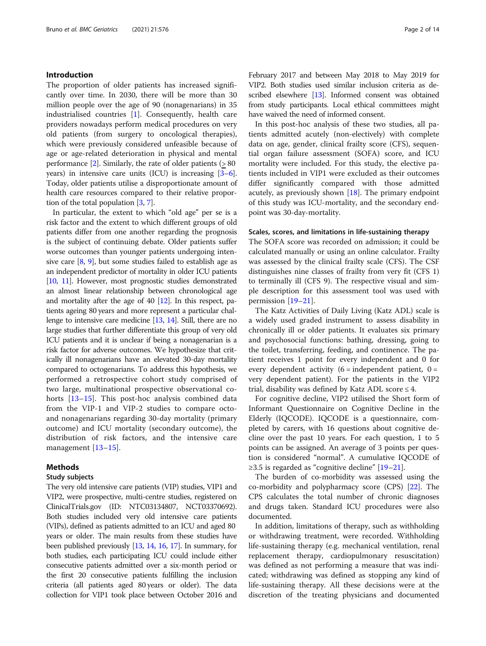#### Introduction

The proportion of older patients has increased significantly over time. In 2030, there will be more than 30 million people over the age of 90 (nonagenarians) in 35 industrialised countries [1]. Consequently, health care providers nowadays perform medical procedures on very old patients (from surgery to oncological therapies), which were previously considered unfeasible because of age or age-related deterioration in physical and mental performance  $[2]$ . Similarly, the rate of older patients ( $> 80$ years) in intensive care units (ICU) is increasing [3–6]. Today, older patients utilise a disproportionate amount of health care resources compared to their relative proportion of the total population [3, 7].

In particular, the extent to which "old age" per se is a risk factor and the extent to which different groups of old patients differ from one another regarding the prognosis is the subject of continuing debate. Older patients suffer worse outcomes than younger patients undergoing intensive care [8, 9], but some studies failed to establish age as an independent predictor of mortality in older ICU patients [10, 11]. However, most prognostic studies demonstrated an almost linear relationship between chronological age and mortality after the age of  $40$  [12]. In this respect, patients ageing 80 years and more represent a particular challenge to intensive care medicine [13, 14]. Still, there are no large studies that further differentiate this group of very old ICU patients and it is unclear if being a nonagenarian is a risk factor for adverse outcomes. We hypothesize that critically ill nonagenarians have an elevated 30-day mortality compared to octogenarians. To address this hypothesis, we performed a retrospective cohort study comprised of two large, multinational prospective observational cohorts [13–15]. This post-hoc analysis combined data from the VIP-1 and VIP-2 studies to compare octoand nonagenarians regarding 30-day mortality (primary outcome) and ICU mortality (secondary outcome), the distribution of risk factors, and the intensive care management [13–15].

#### Methods

#### Study subjects

The very old intensive care patients (VIP) studies, VIP1 and VIP2, were prospective, multi-centre studies, registered on ClinicalTrials.gov (ID: NTC03134807, NCT03370692). Both studies included very old intensive care patients (VIPs), defined as patients admitted to an ICU and aged 80 years or older. The main results from these studies have been published previously [13, 14, 16, 17]. In summary, for both studies, each participating ICU could include either consecutive patients admitted over a six-month period or the first 20 consecutive patients fulfilling the inclusion criteria (all patients aged 80 years or older). The data collection for VIP1 took place between October 2016 and

February 2017 and between May 2018 to May 2019 for VIP2. Both studies used similar inclusion criteria as described elsewhere [13]. Informed consent was obtained from study participants. Local ethical committees might have waived the need of informed consent.

In this post-hoc analysis of these two studies, all patients admitted acutely (non-electively) with complete data on age, gender, clinical frailty score (CFS), sequential organ failure assessment (SOFA) score, and ICU mortality were included. For this study, the elective patients included in VIP1 were excluded as their outcomes differ significantly compared with those admitted acutely, as previously shown  $[18]$ . The primary endpoint of this study was ICU-mortality, and the secondary endpoint was 30-day-mortality.

#### Scales, scores, and limitations in life-sustaining therapy

The SOFA score was recorded on admission; it could be calculated manually or using an online calculator. Frailty was assessed by the clinical frailty scale (CFS). The CSF distinguishes nine classes of frailty from very fit (CFS 1) to terminally ill (CFS 9). The respective visual and simple description for this assessment tool was used with permission [19–21].

The Katz Activities of Daily Living (Katz ADL) scale is a widely used graded instrument to assess disability in chronically ill or older patients. It evaluates six primary and psychosocial functions: bathing, dressing, going to the toilet, transferring, feeding, and continence. The patient receives 1 point for every independent and 0 for every dependent activity  $(6 = \text{independent patient}, 0 =$ very dependent patient). For the patients in the VIP2 trial, disability was defined by Katz ADL score  $\leq 4$ .

For cognitive decline, VIP2 utilised the Short form of Informant Questionnaire on Cognitive Decline in the Elderly (IQCODE). IQCODE is a questionnaire, completed by carers, with 16 questions about cognitive decline over the past 10 years. For each question, 1 to 5 points can be assigned. An average of 3 points per question is considered "normal". A cumulative IQCODE of  $≥3.5$  is regarded as "cognitive decline" [19–21].

The burden of co-morbidity was assessed using the co-morbidity and polypharmacy score (CPS) [22]. The CPS calculates the total number of chronic diagnoses and drugs taken. Standard ICU procedures were also documented.

In addition, limitations of therapy, such as withholding or withdrawing treatment, were recorded. Withholding life-sustaining therapy (e.g. mechanical ventilation, renal replacement therapy, cardiopulmonary resuscitation) was defined as not performing a measure that was indicated; withdrawing was defined as stopping any kind of life-sustaining therapy. All these decisions were at the discretion of the treating physicians and documented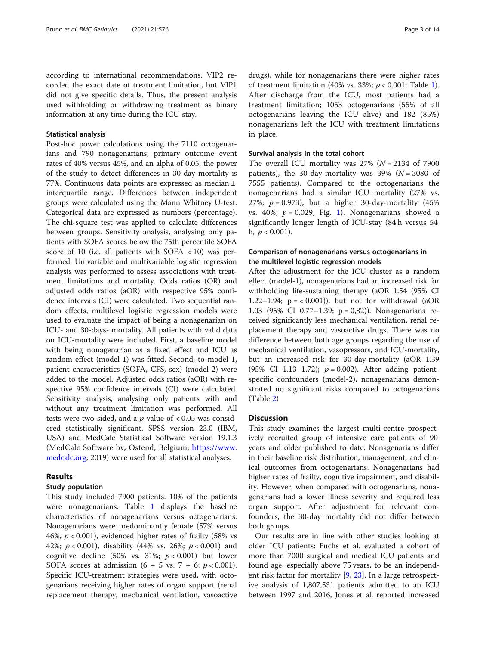according to international recommendations. VIP2 recorded the exact date of treatment limitation, but VIP1 did not give specific details. Thus, the present analysis used withholding or withdrawing treatment as binary information at any time during the ICU-stay.

#### Statistical analysis

Post-hoc power calculations using the 7110 octogenarians and 790 nonagenarians, primary outcome event rates of 40% versus 45%, and an alpha of 0.05, the power of the study to detect differences in 30-day mortality is 77%. Continuous data points are expressed as median ± interquartile range. Differences between independent groups were calculated using the Mann Whitney U-test. Categorical data are expressed as numbers (percentage). The chi-square test was applied to calculate differences between groups. Sensitivity analysis, analysing only patients with SOFA scores below the 75th percentile SOFA score of 10 (i.e. all patients with SOFA < 10) was performed. Univariable and multivariable logistic regression analysis was performed to assess associations with treatment limitations and mortality. Odds ratios (OR) and adjusted odds ratios (aOR) with respective 95% confidence intervals (CI) were calculated. Two sequential random effects, multilevel logistic regression models were used to evaluate the impact of being a nonagenarian on ICU- and 30-days- mortality. All patients with valid data on ICU-mortality were included. First, a baseline model with being nonagenarian as a fixed effect and ICU as random effect (model-1) was fitted. Second, to model-1, patient characteristics (SOFA, CFS, sex) (model-2) were added to the model. Adjusted odds ratios (aOR) with respective 95% confidence intervals (CI) were calculated. Sensitivity analysis, analysing only patients with and without any treatment limitation was performed. All tests were two-sided, and a  $p$ -value of < 0.05 was considered statistically significant. SPSS version 23.0 (IBM, USA) and MedCalc Statistical Software version 19.1.3 (MedCalc Software bv, Ostend, Belgium; [https://www.](https://www.medcalc.org) [medcalc.org;](https://www.medcalc.org) 2019) were used for all statistical analyses.

#### Results

#### Study population

This study included 7900 patients. 10% of the patients were nonagenarians. Table 1 displays the baseline characteristics of nonagenarians versus octogenarians. Nonagenarians were predominantly female (57% versus 46%,  $p < 0.001$ ), evidenced higher rates of frailty (58% vs 42%;  $p < 0.001$ ), disability (44% vs. 26%;  $p < 0.001$ ) and cognitive decline (50% vs. 31%;  $p < 0.001$ ) but lower SOFA scores at admission  $(6 + 5 \text{ vs. } 7 + 6; p < 0.001)$ . Specific ICU-treatment strategies were used, with octogenarians receiving higher rates of organ support (renal replacement therapy, mechanical ventilation, vasoactive drugs), while for nonagenarians there were higher rates of treatment limitation (40% vs. 33%;  $p < 0.001$ ; Table 1). After discharge from the ICU, most patients had a treatment limitation; 1053 octogenarians (55% of all octogenarians leaving the ICU alive) and 182 (85%) nonagenarians left the ICU with treatment limitations in place.

#### Survival analysis in the total cohort

The overall ICU mortality was  $27\%$  ( $N = 2134$  of 7900 patients), the 30-day-mortality was 39% ( $N = 3080$  of 7555 patients). Compared to the octogenarians the nonagenarians had a similar ICU mortality (27% vs. 27%;  $p = 0.973$ ), but a higher 30-day-mortality (45%) vs. 40%;  $p = 0.029$ , Fig. 1). Nonagenarians showed a significantly longer length of ICU-stay (84 h versus 54 h,  $p < 0.001$ ).

## Comparison of nonagenarians versus octogenarians in the multilevel logistic regression models

After the adjustment for the ICU cluster as a random effect (model-1), nonagenarians had an increased risk for withholding life-sustaining therapy (aOR 1.54 (95% CI 1.22–1.94;  $p = < 0.001$ ), but not for withdrawal (aOR 1.03 (95% CI 0.77–1.39; p = 0,82)). Nonagenarians received significantly less mechanical ventilation, renal replacement therapy and vasoactive drugs. There was no difference between both age groups regarding the use of mechanical ventilation, vasopressors, and ICU-mortality, but an increased risk for 30-day-mortality (aOR 1.39 (95% CI 1.13-1.72);  $p = 0.002$ ). After adding patientspecific confounders (model-2), nonagenarians demonstrated no significant risks compared to octogenarians (Table 2)

#### **Discussion**

This study examines the largest multi-centre prospectively recruited group of intensive care patients of 90 years and older published to date. Nonagenarians differ in their baseline risk distribution, management, and clinical outcomes from octogenarians. Nonagenarians had higher rates of frailty, cognitive impairment, and disability. However, when compared with octogenarians, nonagenarians had a lower illness severity and required less organ support. After adjustment for relevant confounders, the 30-day mortality did not differ between both groups.

Our results are in line with other studies looking at older ICU patients: Fuchs et al. evaluated a cohort of more than 7000 surgical and medical ICU patients and found age, especially above 75 years, to be an independent risk factor for mortality [9, 23]. In a large retrospective analysis of 1,807,531 patients admitted to an ICU between 1997 and 2016, Jones et al. reported increased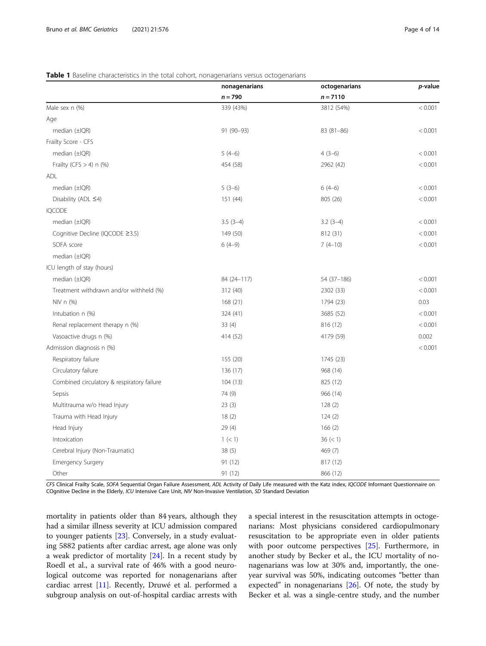|  |  |  | Table 1 Baseline characteristics in the total cohort, nonagenarians versus octogenarians |
|--|--|--|------------------------------------------------------------------------------------------|
|  |  |  |                                                                                          |

|                                            | nonagenarians | octogenarians | p-value |
|--------------------------------------------|---------------|---------------|---------|
|                                            | $n = 790$     | $n = 7110$    |         |
| Male sex n (%)                             | 339 (43%)     | 3812 (54%)    | < 0.001 |
| Age                                        |               |               |         |
| median $(\pm$ IQR)                         | 91 (90-93)    | 83 (81-86)    | < 0.001 |
| Frailty Score - CFS                        |               |               |         |
| median $(\pm$ IQR)                         | $5(4-6)$      | $4(3-6)$      | < 0.001 |
| Frailty (CFS $>$ 4) n (%)                  | 454 (58)      | 2962 (42)     | < 0.001 |
| ADL                                        |               |               |         |
| median $(\pm$ IQR)                         | $5(3-6)$      | $6(4-6)$      | < 0.001 |
| Disability (ADL ≤4)                        | 151 (44)      | 805 (26)      | < 0.001 |
| <b>IQCODE</b>                              |               |               |         |
| median $(\pm$ IQR)                         | $3.5(3-4)$    | $3.2(3-4)$    | < 0.001 |
| Cognitive Decline (IQCODE ≥3.5)            | 149 (50)      | 812 (31)      | < 0.001 |
| SOFA score                                 | $6(4-9)$      | $7(4-10)$     | < 0.001 |
| median $(\pm$ IQR)                         |               |               |         |
| ICU length of stay (hours)                 |               |               |         |
| median $(\pm$ IQR)                         | 84 (24-117)   | 54 (37-186)   | < 0.001 |
| Treatment withdrawn and/or withheld (%)    | 312 (40)      | 2302 (33)     | < 0.001 |
| NIV n (%)                                  | 168(21)       | 1794 (23)     | 0.03    |
| Intubation n (%)                           | 324 (41)      | 3685 (52)     | < 0.001 |
| Renal replacement therapy n (%)            | 33(4)         | 816 (12)      | < 0.001 |
| Vasoactive drugs n (%)                     | 414 (52)      | 4179 (59)     | 0.002   |
| Admission diagnosis n (%)                  |               |               | < 0.001 |
| Respiratory failure                        | 155 (20)      | 1745 (23)     |         |
| Circulatory failure                        | 136 (17)      | 968 (14)      |         |
| Combined circulatory & respiratory failure | 104(13)       | 825 (12)      |         |
| Sepsis                                     | 74 (9)        | 966 (14)      |         |
| Multitrauma w/o Head Injury                | 23(3)         | 128(2)        |         |
| Trauma with Head Injury                    | 18(2)         | 124(2)        |         |
| Head Injury                                | 29(4)         | 166(2)        |         |
| Intoxication                               | 1 (< 1)       | 36 (< 1)      |         |
| Cerebral Injury (Non-Traumatic)            | 38(5)         | 469 (7)       |         |
| <b>Emergency Surgery</b>                   | 91 (12)       | 817 (12)      |         |
| Other                                      | 91 (12)       | 866 (12)      |         |

CFS Clinical Frailty Scale, SOFA Sequential Organ Failure Assessment, ADL Activity of Daily Life measured with the Katz index, IQCODE Informant Questionnaire on COgnitive Decline in the Elderly, ICU Intensive Care Unit, NIV Non-Invasive Ventilation, SD Standard Deviation

mortality in patients older than 84 years, although they had a similar illness severity at ICU admission compared to younger patients [23]. Conversely, in a study evaluating 5882 patients after cardiac arrest, age alone was only a weak predictor of mortality [24]. In a recent study by Roedl et al., a survival rate of 46% with a good neurological outcome was reported for nonagenarians after cardiac arrest [11]. Recently, Druwé et al. performed a subgroup analysis on out-of-hospital cardiac arrests with a special interest in the resuscitation attempts in octogenarians: Most physicians considered cardiopulmonary resuscitation to be appropriate even in older patients with poor outcome perspectives [25]. Furthermore, in another study by Becker et al., the ICU mortality of nonagenarians was low at 30% and, importantly, the oneyear survival was 50%, indicating outcomes "better than expected" in nonagenarians  $[26]$ . Of note, the study by Becker et al. was a single-centre study, and the number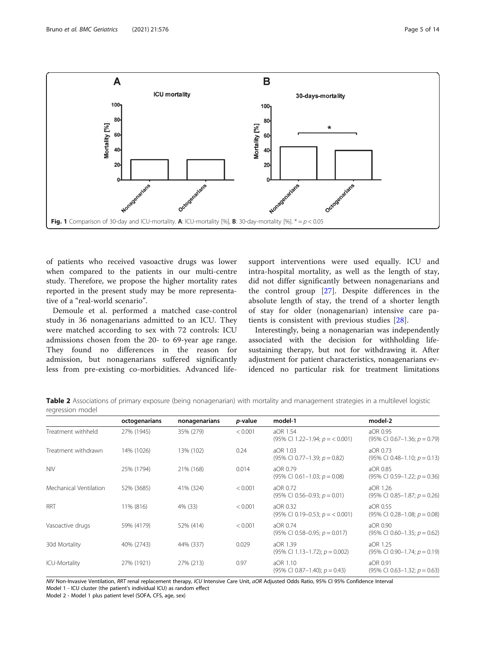

of patients who received vasoactive drugs was lower when compared to the patients in our multi-centre study. Therefore, we propose the higher mortality rates reported in the present study may be more representative of a "real-world scenario".

Demoule et al. performed a matched case-control study in 36 nonagenarians admitted to an ICU. They were matched according to sex with 72 controls: ICU admissions chosen from the 20- to 69-year age range. They found no differences in the reason for admission, but nonagenarians suffered significantly less from pre-existing co-morbidities. Advanced life-

support interventions were used equally. ICU and intra-hospital mortality, as well as the length of stay, did not differ significantly between nonagenarians and the control group [27]. Despite differences in the absolute length of stay, the trend of a shorter length of stay for older (nonagenarian) intensive care patients is consistent with previous studies [28].

Interestingly, being a nonagenarian was independently associated with the decision for withholding lifesustaining therapy, but not for withdrawing it. After adjustment for patient characteristics, nonagenarians evidenced no particular risk for treatment limitations

Table 2 Associations of primary exposure (being nonagenarian) with mortality and management strategies in a multilevel logistic regression model

|                        | octogenarians | nonagenarians | <i>p</i> -value | model-1                                                  | model-2                                                |
|------------------------|---------------|---------------|-----------------|----------------------------------------------------------|--------------------------------------------------------|
| Treatment withheld     | 27% (1945)    | 35% (279)     | < 0.001         | aOR 1.54<br>$(95\% \text{ CI } 1.22 - 1.94; p = 0.001)$  | aOR 0.95<br>$(95\% \text{ Cl } 0.67-1.36; p = 0.79)$   |
| Treatment withdrawn    | 14% (1026)    | 13% (102)     | 0.24            | aOR 1.03<br>$(95\% \text{ CI } 0.77-1.39; p = 0.82)$     | aOR 0.73<br>$(95\% \text{ CI } 0.48 - 1.10; p = 0.13)$ |
| <b>NIV</b>             | 25% (1794)    | 21% (168)     | 0.014           | aOR 0.79<br>$(95\% \text{ CI } 0.61-1.03; p = 0.08)$     | aOR 0.85<br>$(95\% \text{ Cl } 0.59-1.22; p = 0.36)$   |
| Mechanical Ventilation | 52% (3685)    | 41% (324)     | < 0.001         | aOR 0.72<br>$(95\% \text{ CI } 0.56-0.93; p = 0.01)$     | aOR 1.26<br>$(95\% \text{ CI } 0.85-1.87; p = 0.26)$   |
| <b>RRT</b>             | 11% (816)     | 4% (33)       | < 0.001         | aOR 0.32<br>$(95\% \text{ CI } 0.19-0.53; p = 0.001)$    | aOR 0.55<br>$(95\% \text{ CI } 0.28-1.08; p = 0.08)$   |
| Vasoactive drugs       | 59% (4179)    | 52% (414)     | < 0.001         | aOR 0.74<br>$(95\% \text{ CI } 0.58 - 0.95; p = 0.017)$  | aOR 0.90<br>$(95\% \text{ Cl } 0.60-1.35; p = 0.62)$   |
| 30d Mortality          | 40% (2743)    | 44% (337)     | 0.029           | aOR 1.39<br>$(95\% \text{ CI } 1.13 - 1.72); p = 0.002)$ | aOR 1.25<br>$(95\% \text{ Cl } 0.90-1.74; p = 0.19)$   |
| ICU-Mortality          | 27% (1921)    | 27% (213)     | 0.97            | aOR 1.10<br>$(95\% \text{ CI } 0.87-1.40); p = 0.43)$    | aOR 0.91<br>$(95\% \text{ CI } 0.63 - 1.32; p = 0.63)$ |

NIV Non-Invasive Ventilation, RRT renal replacement therapy, ICU Intensive Care Unit, aOR Adjusted Odds Ratio, 95% CI 95% Confidence Interval Model 1 - ICU cluster (the patient's individual ICU) as random effect

Model 2 - Model 1 plus patient level (SOFA, CFS, age, sex)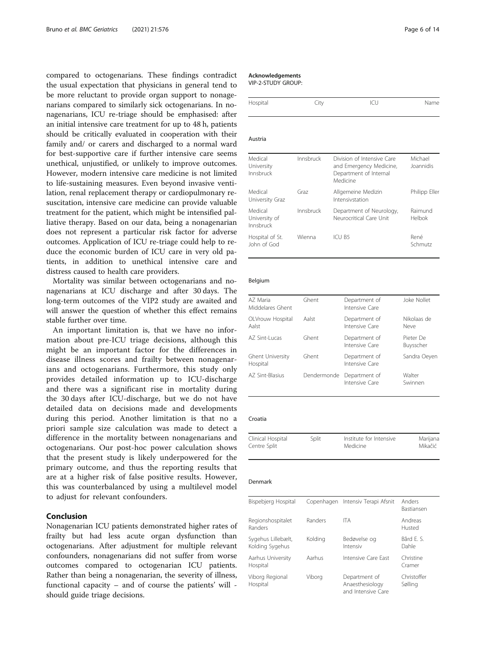compared to octogenarians. These findings contradict the usual expectation that physicians in general tend to be more reluctant to provide organ support to nonagenarians compared to similarly sick octogenarians. In nonagenarians, ICU re-triage should be emphasised: after an initial intensive care treatment for up to 48 h, patients should be critically evaluated in cooperation with their family and/ or carers and discharged to a normal ward for best-supportive care if further intensive care seems unethical, unjustified, or unlikely to improve outcomes. However, modern intensive care medicine is not limited to life-sustaining measures. Even beyond invasive ventilation, renal replacement therapy or cardiopulmonary resuscitation, intensive care medicine can provide valuable treatment for the patient, which might be intensified palliative therapy. Based on our data, being a nonagenarian does not represent a particular risk factor for adverse outcomes. Application of ICU re-triage could help to reduce the economic burden of ICU care in very old patients, in addition to unethical intensive care and distress caused to health care providers.

Mortality was similar between octogenarians and nonagenarians at ICU discharge and after 30 days. The long-term outcomes of the VIP2 study are awaited and will answer the question of whether this effect remains stable further over time.

An important limitation is, that we have no information about pre-ICU triage decisions, although this might be an important factor for the differences in disease illness scores and frailty between nonagenarians and octogenarians. Furthermore, this study only provides detailed information up to ICU-discharge and there was a significant rise in mortality during the 30 days after ICU-discharge, but we do not have detailed data on decisions made and developments during this period. Another limitation is that no a priori sample size calculation was made to detect a difference in the mortality between nonagenarians and octogenarians. Our post-hoc power calculation shows that the present study is likely underpowered for the primary outcome, and thus the reporting results that are at a higher risk of false positive results. However, this was counterbalanced by using a multilevel model to adjust for relevant confounders.

#### Conclusion

Nonagenarian ICU patients demonstrated higher rates of frailty but had less acute organ dysfunction than octogenarians. After adjustment for multiple relevant confounders, nonagenarians did not suffer from worse outcomes compared to octogenarian ICU patients. Rather than being a nonagenarian, the severity of illness, functional capacity – and of course the patients' will should guide triage decisions.

#### Acknowledgements

VIP-2-STUDY GROUP:

| Hospital | JIV | Name |
|----------|-----|------|
|          |     |      |

#### Austria

| Medical<br>University<br>Innsbruck    | Innsbruck | Division of Intensive Care<br>and Emergency Medicine,<br>Department of Internal<br>Medicine | Michael<br>Joannidis     |
|---------------------------------------|-----------|---------------------------------------------------------------------------------------------|--------------------------|
| Medical<br>University Graz            | Graz      | Allgemeine Medizin<br>Intensivstation                                                       | Philipp Eller            |
| Medical<br>University of<br>Innsbruck | Innsbruck | Department of Neurology,<br>Neurocritical Care Unit                                         | Raimund<br><b>Helbok</b> |
| Hospital of St.<br>John of God        | Wienna    | ICU B5                                                                                      | René<br>Schmutz          |

#### Belgium

| AZ Maria<br>Middelares Ghent        | Ghent       | Department of<br>Intensive Care | Joke Nollet            |
|-------------------------------------|-------------|---------------------------------|------------------------|
| OLVrouw Hospital<br>Aalst           | Aalst       | Department of<br>Intensive Care | Nikolaas de<br>Neve    |
| AZ Sint-Lucas                       | Ghent       | Department of<br>Intensive Care | Pieter De<br>Buysscher |
| <b>Ghent University</b><br>Hospital | Ghent       | Department of<br>Intensive Care | Sandra Oeyen           |
| AZ Sint-Blasius                     | Dendermonde | Department of<br>Intensive Care | Walter<br>Swinnen      |
|                                     |             |                                 |                        |

#### Croatia

| Clinical Hospital | Split | Institute for Intensive | Marijana |
|-------------------|-------|-------------------------|----------|
| Centre Split      |       | Medicine                | Mikačić  |

#### Denmark

| Bispebjerg Hospital                   |         | Copenhagen Intensiv Terapi Afsnit                      | Anders<br><b>Bastiansen</b> |
|---------------------------------------|---------|--------------------------------------------------------|-----------------------------|
| Regionshospitalet<br>Randers          | Randers | <b>ITA</b>                                             | Andreas<br>Husted           |
| Sygehus Lillebælt,<br>Kolding Sygehus | Kolding | Bedøvelse og<br>Intensiv                               | Bård F. S.<br>Dahle         |
| Aarhus University<br>Hospital         | Aarhus  | Intensive Care Fast                                    | Christine<br>Cramer         |
| Viborg Regional<br>Hospital           | Viborg  | Department of<br>Anaesthesiology<br>and Intensive Care | Christoffer<br>Sølling      |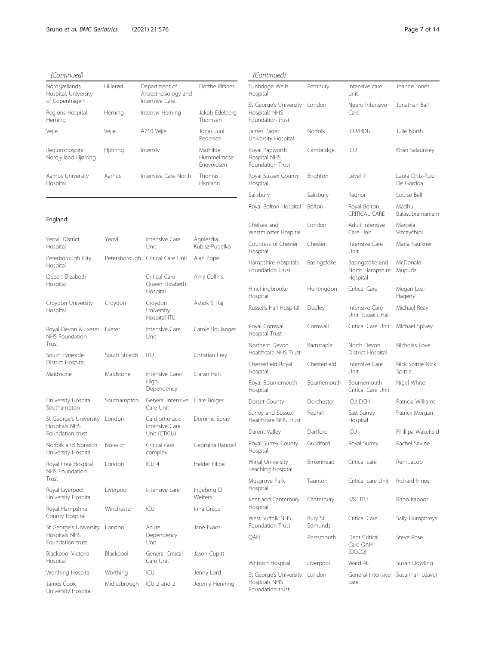| Nordsjællands<br>Hospital, University<br>of Copenhagen | Hillerød | Department of<br>Anaesthesiology and<br>Intensive Care | Dorthe Ørsnes                        |
|--------------------------------------------------------|----------|--------------------------------------------------------|--------------------------------------|
| Regions Hospital<br>Herning                            | Herning  | Intensiv Herning                                       | Jakob Edelberg<br>Thomsen            |
| Vejle                                                  | Veile    | A710 Vejle                                             | Jonas Juul<br>Pedersen               |
| Regionshospital<br>Nordjylland Hjørring                | Hjørring | Intensiv                                               | Mathilde<br>Hummelmose<br>Fnevoldsen |
| Aarhus University<br>Hospital                          | Aarhus   | Intensive Care North                                   | Thomas<br>Flkmann                    |

#### England

| Yeovil District<br>Hospital                                 | Yeovil        | Intensive Care<br>Unit                           | Agnieszka<br>Kubisz-Pudelko |
|-------------------------------------------------------------|---------------|--------------------------------------------------|-----------------------------|
| Peterborough City<br>Hospital                               | Petersborough | Critical Care Unit                               | Alan Pope                   |
| Oueen Elizabeth<br>Hospital                                 |               | Critical Care<br>Queen Elizabeth<br>Hospital     | Amy Collins                 |
| Croydon University<br>Hospital                              | Croydon       | Croydon<br>University<br>Hospital ITU            | Ashok S. Raj                |
| Royal Devon & Exeter<br>NHS Foundation<br>Trust             | Exeter        | Intensive Care<br>Unit                           | Carole Boulanger            |
| South Tyneside<br>District Hospital                         | South Shields | ITU                                              | Christian Frey              |
| Maidstone                                                   | Maidstone     | Intensive Care/<br>High<br>Dependency            | Ciaran Hart                 |
| University Hospital<br>Southampton                          | Southampton   | General Intensive<br>Care Unit                   | Clare Bolger                |
| St George's University<br>Hospitals NHS<br>Foundation trust | London        | Cardiothoracic<br>Intensive Care<br>Unit (CTICU) | Dominic Spray               |
| Norfolk and Norwich<br>University Hospital                  | Norwich       | Critical care<br>complex                         | Georgina Randell            |
| Royal Free Hospital<br>NHS Foundation<br>Trust              | London        | ICU 4                                            | Helder Filipe               |
| Royal Liverpool<br>University Hospital                      | Liverpool     | Intensive care                                   | Ingeborg D<br>Welters       |
| Royal Hampshire<br>County Hospital                          | Winchester    | ICU                                              | Irina Grecu                 |
| St George's University<br>Hospitals NHS<br>Foundation trust | London        | Acute<br>Dependency<br>Unit                      | Jane Evans                  |
| Blackpool Victoria<br>Hospital                              | Blackpool     | General Critical<br>Care Unit                    | Jason Cupitt                |
| Worthing Hospital                                           | Worthing      | ICU                                              | Jenny Lord                  |
| James Cook<br>University Hospital                           | Midlesbrough  | ICU 2 and 2                                      | Jeremy Henning              |

## (Continued)

| 1                                                                  |                    |                                                |                               |
|--------------------------------------------------------------------|--------------------|------------------------------------------------|-------------------------------|
| Tunbridge Wells<br>Hospital                                        | Pembury            | Intensive care<br>unit                         | Joanne Jones                  |
| St George's University<br>Hospitals NHS<br>Foundation trust        | London             | Neuro Intensive<br>Care                        | Jonathan Ball                 |
| James Paget<br>University Hospital                                 | Norfolk            | <b>ICU/HDU</b>                                 | Julie North                   |
| Royal Papworth<br>Hospital NHS<br>Foundation Trust                 | Cambridge          | ICU                                            | Kiran Salaunkey               |
| Royal Sussex County<br>Hospital                                    | Brighton           | Level 7                                        | Laura Ortiz-Ruiz<br>De Gordoa |
| Salisbury                                                          | Salisbury          | Radnor                                         | Louise Bell                   |
| Royal Bolton Hospital                                              | Bolton             | Royal Bolton<br>CRITICAL CARE                  | Madhu<br>Balasubramaniam      |
| Chelsea and<br>Westminster Hospital                                | London             | Adult Intensive<br>Care Unit                   | Marcela<br>Vizcaychipi        |
| Countess of Chester<br>Hospital                                    | Chester            | Intensive Care<br>Unit                         | Maria Faulkner                |
| Hampshire Hospitals<br>Foundation Trust                            | Basingstoke        | Basingstoke and<br>North Hampshire<br>Hospital | McDonald<br>Mupudzi           |
| Hinchingbrooke<br>Hospital                                         | Huntingdon         | Critical Care                                  | Megan Lea-<br>Hagerty         |
| Russells Hall Hospital                                             | Dudley             | Intensive Care<br>Unit Russells Hall           | Michael Reay                  |
| Royal Cornwall<br>Hospital Trust                                   | Cornwall           | Critical Care Unit                             | Michael Spivey                |
| Northern Devon<br>Healthcare NHS Trust                             | Barnstaple         | North Devon<br>District Hospital               | Nicholas Love                 |
| Chesterfield Royal<br>Hospital                                     | Chesterfield       | Intensive Care<br>Unit                         | Nick Spittle Nick<br>Spittle  |
| Royal Bournemouth<br>Hospital                                      | Bournemouth        | Bournemouth<br>Critical Care Unit              | Nigel White                   |
| Dorset County                                                      | Dorchester         | <b>ICU DCH</b>                                 | Patricia Williams             |
| Surrey and Sussex<br>Healthcare NHS Trust                          | Redhill            | East Surrey<br>Hospital                        | Patrick Morgan                |
| Darent Valley                                                      | Dartford           | ICU                                            | Phillipa Wakefield            |
| Royal Surrey County<br>Hospital                                    | Guildford          | Royal Surrey                                   | Rachel Savine                 |
| Wirral University<br>Teaching Hospital                             | Birkenhead         | Critical care                                  | Reni Jacob                    |
| Musgrove Park<br>Hospital                                          | Taunton            | Critical care Unit                             | Richard Innes                 |
| Kent and Canterbury<br>Hospital                                    | Canterbury         | <b>K&amp;C ITU</b>                             | Ritoo Kapoor                  |
| West Suffolk NHS<br>Foundation Trust                               | Bury St<br>Edmunds | Critical Care                                  | Sally Humphreys               |
| QAH                                                                | Portsmouth         | Dept Critical<br>Care OAH<br>(DCCQ)            | Steve Rose                    |
| Whiston Hospital                                                   | Liverpool          | Ward 4E                                        | Susan Dowling                 |
| St George's University London<br>Hospitals NHS<br>Foundation trust |                    | General Intensive<br>care                      | Susannah Leaver               |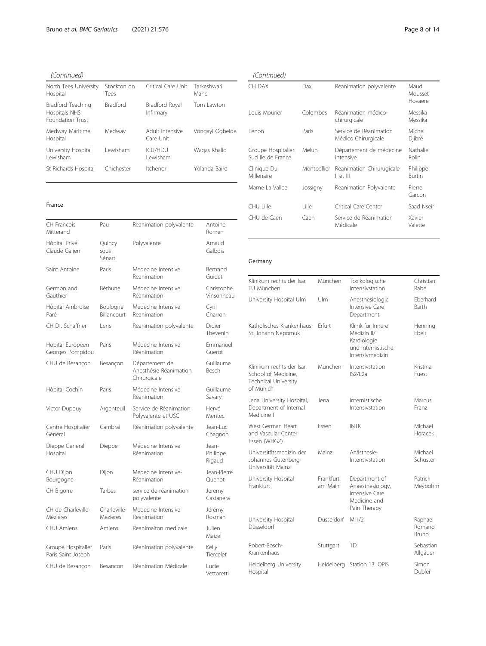| (Continued)                                                   |                     |                              |                     |
|---------------------------------------------------------------|---------------------|------------------------------|---------------------|
| North Tees University<br>Hospital                             | Stockton on<br>Tees | Critical Care Unit           | Tarkeshwari<br>Mane |
| Bradford Teaching<br>Hospitals NHS<br><b>Foundation Trust</b> | <b>Bradford</b>     | Bradford Royal<br>Infirmary  | Tom Lawton          |
| Medway Maritime<br>Hospital                                   | Medway              | Adult Intensive<br>Care Unit | Vongayi Ogbeide     |
| University Hospital<br>I ewisham                              | Lewisham            | <b>ICU/HDU</b><br>I ewisham  | Wagas Khalig        |
| St Richards Hospital                                          | Chichester          | Itchenor                     | Yolanda Baird       |

#### France

| CH Francois<br>Mitterand                 | Pau                            | Reanimation polyvalente                                  | Antoine<br>Romen            |
|------------------------------------------|--------------------------------|----------------------------------------------------------|-----------------------------|
| Hôpital Privé<br>Claude Galien           | Quincy<br>sous<br>Sénart       | Polyvalente                                              | Arnaud<br>Galbois           |
| Saint Antoine                            | Paris                          | Medecine Intensive<br>Reanimation                        | Bertrand<br>Guidet          |
| Germon and<br>Gauthier                   | Béthune                        | Médecine Intensive<br>Réanimation                        | Christophe<br>Vinsonneau    |
| Hôpital Ambroise<br>Paré                 | Boulogne<br><b>Billancourt</b> | Medecine Intensive<br>Reanimation                        | Cyril<br>Charron            |
| CH Dr. Schaffner                         | l ens                          | Reanimation polyvalente                                  | Didier<br>Thevenin          |
| Hopital Européen<br>Georges Pompidou     | Paris                          | Médecine Intensive<br>Réanimation                        | Emmanuel<br>Guerot          |
| CHU de Besançon                          | Besançon                       | Département de<br>Anesthésie Réanimation<br>Chirurgicale | Guillaume<br><b>Besch</b>   |
| Hôpital Cochin                           | Paris                          | Médecine Intensive<br>Réanimation                        | Guillaume<br>Savary         |
| Victor Dupouy                            | Argenteuil                     | Service de Réanimation<br>Polyvalente et USC             | Hervé<br>Mentec             |
| Centre Hospitalier<br>Général            | Cambrai                        | Réanimation polyvalente                                  | Jean-Luc<br>Chagnon         |
| Dieppe General<br>Hospital               | Dieppe                         | Médecine Intensive<br>Réanimation                        | Jean-<br>Philippe<br>Rigaud |
| CHU Dijon<br>Bourgogne                   | Dijon                          | Medecine intensive-<br>Réanimation                       | Jean-Pierre<br>Quenot       |
| CH Bigorre                               | Tarbes                         | service de réanimation<br>polyvalente                    | Jeremy<br>Castanera         |
| CH de Charleville-<br>Mézières           | Charleville-<br>Mezieres       | Medecine Intensive<br>Reanimation                        | Jérémy<br>Rosman            |
| <b>CHU</b> Amiens                        | Amiens                         | Reanimaiton medicale                                     | Julien<br>Maizel            |
| Groupe Hospitalier<br>Paris Saint Joseph | Paris                          | Réanimation polyvalente                                  | Kelly<br>Tiercelet          |
| CHU de Besançon                          | Besancon                       | Réanimation Médicale                                     | Lucie<br>Vettoretti         |

## (Continued)

| , __                                    |             |                                               |                            |
|-----------------------------------------|-------------|-----------------------------------------------|----------------------------|
| CH DAX                                  | Dax         | Réanimation polyvalente                       | Maud<br>Mousset<br>Hovaere |
| Louis Mourier                           | Colombes    | Réanimation médico-<br>chirurgicale           | Messika<br>Messika         |
| Tenon                                   | Paris       | Service de Réanimation<br>Médico Chirurgicale | Michel<br>Djibré           |
| Groupe Hospitalier<br>Sud Ile de France | Melun       | Département de médecine<br>intensive          | Nathalie<br>Rolin          |
| Clinique Du<br>Millenaire               | Montpellier | Reanimation Chirurugicale<br>II et III        | Philippe<br>Burtin         |
| Marne La Vallee                         | Jossigny    | Reanimation Polyvalente                       | Pierre<br>Garcon           |
| CHU Lille                               | l ille      | Critical Care Center                          | Saad Nseir                 |
| CHU de Caen                             | Caen        | Service de Réanimation<br>Médicale            | Xavier<br>Valette          |

## Germany

| Klinikum rechts der Isar<br>TU München                                                       | München              | Toxikologische<br>Intensivstation                                                        | Christian<br>Rabe          |
|----------------------------------------------------------------------------------------------|----------------------|------------------------------------------------------------------------------------------|----------------------------|
| University Hospital Ulm                                                                      | Ulm                  | Anesthesiologic<br>Intensive Care<br>Department                                          | Eberhard<br>Barth          |
| Katholisches Krankenhaus<br>St. Johann Nepomuk                                               | Frfurt               | Klinik für Innere<br>Medizin II/<br>Kardiologie<br>und Internistische<br>Intensivmedizin | Henning<br>Ebelt           |
| Klinikum rechts der Isar,<br>School of Medicine,<br><b>Technical University</b><br>of Munich | München              | Intensivstation<br>IS2/L2a                                                               | Kristina<br>Fuest          |
| Jena University Hospital,<br>Department of Internal<br>Medicine I                            | Jena                 | Internistische<br>Intensivstation                                                        | Marcus<br>Franz            |
| West German Heart<br>and Vascular Center<br>Essen (WHGZ)                                     | Essen                | <b>INTK</b>                                                                              | Michael<br>Horacek         |
| Universitätsmedizin der<br>Johannes Gutenberg-<br>Universität Mainz                          | Mainz                | Anästhesie-<br>Intensivstation                                                           | Michael<br>Schuster        |
| University Hospital<br>Frankfurt                                                             | Frankfurt<br>am Main | Department of<br>Anaesthesiology,<br>Intensive Care<br>Medicine and<br>Pain Therapy      | Patrick<br>Meybohm         |
| University Hospital<br>Düsseldorf                                                            | Düsseldorf           | MI1/2                                                                                    | Raphael<br>Romano<br>Bruno |
| Robert-Bosch-<br>Krankenhaus                                                                 | Stuttgart            | 1D                                                                                       | Sebastian<br>Allgäuer      |
| Heidelberg University<br>Hospital                                                            | Heidelberg           | Station 13 IOPIS                                                                         | Simon<br>Dubler            |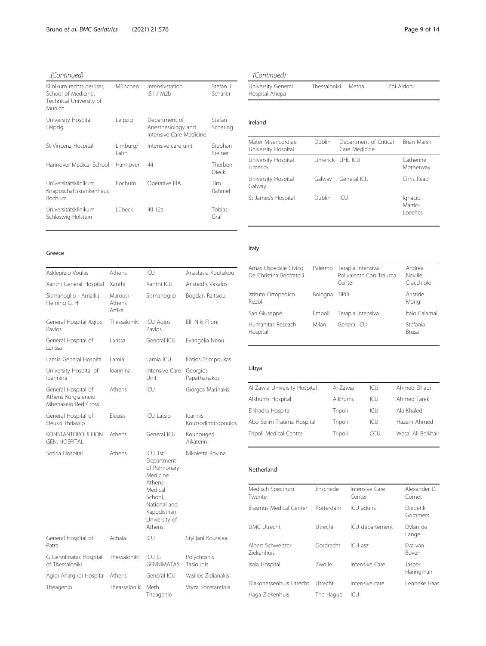| Klinikum rechts der Isar,<br>School of Medicine.<br>Technical University of<br>Munich | München           | Intensivstation<br>IS1 / M2b                                   | Stefan J<br>Schaller    |
|---------------------------------------------------------------------------------------|-------------------|----------------------------------------------------------------|-------------------------|
| University Hospital<br>Leipzig                                                        | Leipzig           | Department of<br>Anesthesiology and<br>Intensive Care Medicine | Stefan<br>Schering      |
| St Vincenz Hospital                                                                   | Limburg/<br>I ahn | Intensive care unit                                            | Stephan<br>Steiner      |
| Hannover Medical School                                                               | Hannover          | 44                                                             | Thorben<br><b>Dieck</b> |
| Universitätsklinikum<br>Knappschaftskrankenhaus<br>Bochum                             | Bochum            | Operative IBA                                                  | Tim<br>Rahmel           |
| Universitätsklinikum<br>Schleswig-Holstein                                            | Lübeck            | IKI 12a                                                        | Tobias<br>Graf          |

#### Greece

| Asklepieio Voulas                                                 | Athens                        | ICU                                                                                                                                          | Anastasia Koutsikou            |
|-------------------------------------------------------------------|-------------------------------|----------------------------------------------------------------------------------------------------------------------------------------------|--------------------------------|
| Xanthi General Hospital                                           | Xanthi                        | Xanthi ICU                                                                                                                                   | Aristeidis Vakalos             |
| Sismanoglio - Amallia<br>Fleming G. H                             | Marousi -<br>Athens<br>Attika | Sismanoglio                                                                                                                                  | Bogdan Raitsiou                |
| General Hospital Agios<br>Pavlos                                  | Thessaloniki                  | <b>ICU Agios</b><br>Pavlos                                                                                                                   | Elli Niki Flioni               |
| General Hospital of<br>Larissa                                    | Larissa                       | General ICU                                                                                                                                  | Evangelia Neou                 |
| Lamia General Hospita                                             | I amia                        | Lamia ICU                                                                                                                                    | Fotios Tsimpoukas              |
| University Hospital of<br>loannina                                | loannina                      | Intensive Care<br>Unit                                                                                                                       | Georgios<br>Papathanakos       |
| General Hospital of<br>Athens Korgialeneio<br>Mbenakejo Red Cross | Athens                        | ICU                                                                                                                                          | Giorgos Marinakis              |
| General Hospital of<br>Eleusis Thriassio                          | Eleusis                       | <b>ICU Latsio</b>                                                                                                                            | loannis<br>Koutsodimitropoulos |
| <b>KONSTANTOPOULEION</b><br><b>GEN. HOSPITAL</b>                  | Athens                        | General ICU                                                                                                                                  | Kounougeri<br>Aikaterini       |
| Sotiria Hospital                                                  | Athens                        | ICU 1st<br>Department<br>of Pulmonary<br>Medicine<br>Athens<br>Medical<br>School,<br>National and<br>Kapodistrian<br>University of<br>Athens | Nikoletta Rovina               |
| General Hospital of<br>Patra                                      | Achaia                        | ICU                                                                                                                                          | Stylliani Kourelea             |
| G Gennimatas Hospital<br>of Thessaloniki                          | Thessaloniki                  | ICU G<br><b>GENNIMATAS</b>                                                                                                                   | Polychronis<br>Tasioudis       |
| Agioi Anargiroi Hospital                                          | Athens                        | General ICU                                                                                                                                  | Vasijios Zidianakis            |
| Theagenio                                                         | Theassaloniki                 | Meth<br>Theagenio                                                                                                                            | Vryza Konstantinia             |

## (Continued)

| University General | Thessaloniki | Metha | Zoi Aidoni |  |
|--------------------|--------------|-------|------------|--|
| Hospital Ahepa     |              |       |            |  |

#### Ireland

| Mater Misericordiae<br>University Hospital | Dublin           | Department of Critical<br>Care Medicine | Brian Marsh                   |
|--------------------------------------------|------------------|-----------------------------------------|-------------------------------|
| University Hospital<br><b>Limerick</b>     | Limerick UHL ICU |                                         | Catherine<br>Motherway        |
| University Hospital<br>Galway              | Galway           | General ICU                             | Chris Read                    |
| St James's Hospital                        | Dublin           | ICU.                                    | Ignacio<br>Martin-<br>Loeches |

## Italy

| Arnas Ospedale Civico<br>De Christina Benfratelli |         | Palermo Terapia Intensiva<br>Polivalente Con Trauma<br>Center | Andrea<br>Neville<br>Cracchiolo |
|---------------------------------------------------|---------|---------------------------------------------------------------|---------------------------------|
| Istituto Ortopedico<br>Rizzoli                    | Bologna | <b>TIPO</b>                                                   | Aristide<br>Morigi              |
| San Giuseppe                                      | Empoli  | Terapia Intensiva                                             | Italo Calamai                   |
| Humanitas Reseach<br>Hospital                     | Milan   | General ICU                                                   | Stefania<br><b>Brusa</b>        |

#### Libya

| Al-Zawia University Hospital | Al-Zawia | ICU  | Ahmed Flhadi       |
|------------------------------|----------|------|--------------------|
| Alkhums Hospital             | Alkhums  | ICU. | Ahmed Tarek        |
| Elkhadra Hospital            | Tripoli  | ICU  | Ala Khaled         |
| Abo Selim Trauma Hospital    | Tripoli  | ICU  | Hazem Ahmed        |
| Tripoli Medical Center       | Tripoli  | CCU  | Wesal Ali Belkhair |
|                              |          |      |                    |

#### Netherland

| Medisch Spectrum<br>Twente             | Enschede  | Intensive Care<br>Center | Alexander D.<br>Cornet  |
|----------------------------------------|-----------|--------------------------|-------------------------|
| Erasmus Medical Center                 | Rotterdam | ICU adults               | Diederik<br>Gommers     |
| UMC Utrecht                            | Utrecht   | ICU departement          | Dylan de<br>Lange       |
| Albert Schweitzer<br><b>Ziekenhuis</b> | Dordrecht | ICU asz                  | Fva van<br><b>Boven</b> |
| Isala Hospital                         | Zwolle    | Intensive Care           | Jasper<br>Haringman     |
| Diakonessenhuis Utrecht                | Utrecht   | Intensive care           | Lenneke Haas            |
| Haga Ziekenhuis                        | The Hague | ICU                      |                         |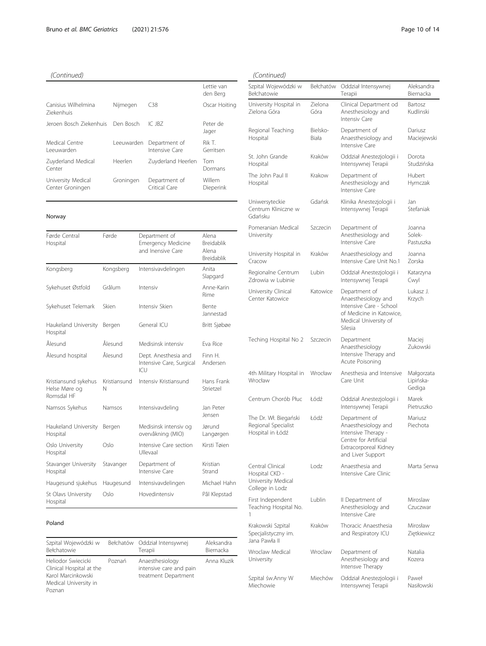|                                          |            |                                 | I ettie van<br>den Berg |
|------------------------------------------|------------|---------------------------------|-------------------------|
| Canisius Wilhelmina<br><b>Ziekenhuis</b> | Nijmegen   | C38                             | Oscar Hoiting           |
| Jeroen Bosch Ziekenhuis                  | Den Bosch  | IC JBZ                          | Peter de<br>Jager       |
| Medical Centre<br>Leeuwarden             | Leeuwarden | Department of<br>Intensive Care | Rik T.<br>Gerritsen     |
| Zuyderland Medical<br>Center             | Heerlen    | Zuyderland Heerlen              | Tom<br>Dormans          |
| University Medical<br>Center Groningen   | Groningen  | Department of<br>Critical Care  | Willem<br>Dieperink     |

#### Norway

| Førde Central<br>Hospital                           | Førde             | Department of<br><b>Emergency Medicine</b><br>and Inensive Care | Alena<br>Breidablik<br>Alena<br>Breidablik |
|-----------------------------------------------------|-------------------|-----------------------------------------------------------------|--------------------------------------------|
| Kongsberg                                           | Kongsberg         | Intensivavdelingen                                              | Anita<br>Slapgard                          |
| Sykehuset Østfold                                   | Grålum            | Intensiv                                                        | Anne-Karin<br>Rime                         |
| Sykehuset Telemark                                  | Skien             | Intensiv Skien                                                  | Bente<br>Jannestad                         |
| Haukeland University<br>Hospital                    | Bergen            | General ICU                                                     | Britt Sjøbøe                               |
| Ålesund                                             | Ålesund           | Medisinsk intensiv                                              | Fva Rice                                   |
| Ålesund hospital                                    | Ålesund           | Dept. Anesthesia and<br>Intensive Care, Surgical<br>ICU         | Finn H.<br>Andersen                        |
| Kristiansund sykehus<br>Helse Møre og<br>Romsdal HF | Kristiansund<br>N | Intensiv Kristiansund                                           | Hans Frank<br>Strietzel                    |
| Namsos Sykehus                                      | Namsos            | Intensivavdeling                                                | Jan Peter<br>Jensen                        |
| Haukeland University<br>Hospital                    | Bergen            | Medisinsk intensiv og<br>overvåkning (MIO)                      | Jørund<br>Langørgen                        |
| Oslo University<br>Hospital                         | Oslo              | Intensive Care section<br>Ullevaal                              | Kirsti Tøien                               |
| Stavanger University<br>Hospital                    | Stavanger         | Department of<br>Intensive Care                                 | Kristian<br>Strand                         |
| Haugesund sjukehus                                  | Haugesund         | Intensivavdelingen                                              | Michael Hahn                               |
| St Olavs University<br>Hospital                     | Oslo              | Hovedintensiv                                                   | Pål Klepstad                               |

#### Poland

| Szpital Wojewódzki w<br>Bełchatowie                                                                     |        | Bełchatów Oddział Intensywnej<br>Terapii                           | Aleksandra<br>Biernacka |
|---------------------------------------------------------------------------------------------------------|--------|--------------------------------------------------------------------|-------------------------|
| Heliodor Swiecicki<br>Clinical Hospital at the<br>Karol Marcinkowski<br>Medical University in<br>Poznan | Poznań | Anaesthesiology<br>intensive care and pain<br>treatment Department | Anna Kluzik             |

### (Continued)

| 1                                                                           |                   |                                                                                                                                    |                                   |
|-----------------------------------------------------------------------------|-------------------|------------------------------------------------------------------------------------------------------------------------------------|-----------------------------------|
| Szpital Wojewódzki w<br>Bełchatowie                                         | Bełchatów         | Oddział Intensywnej<br>Terapii                                                                                                     | Aleksandra<br>Biernacka           |
| University Hospital in<br>Zielona Góra                                      | Zielona<br>Góra   | Clinical Department od<br>Anesthesiology and<br>Intensiv Care                                                                      | Bartosz<br>Kudlinski              |
| Regional Teaching<br>Hospital                                               | Bielsko-<br>Biała | Department of<br>Anaesthesiology and<br>Intensive Care                                                                             | Dariusz<br>Maciejewski            |
| St. John Grande<br>Hospital                                                 | Kraków            | Oddział Anestezjologii i<br>Intensywnej Terapii                                                                                    | Dorota<br>Studzińska              |
| The John Paul II<br>Hospital                                                | Krakow            | Department of<br>Anesthesiology and<br>Intensive Care                                                                              | Hubert<br>Hymczak                 |
| Uniwersyteckie<br>Centrum Kliniczne w<br>Gdańsku                            | Gdańsk            | Klinika Anestezjologii i<br>Intensywnej Terapii                                                                                    | Jan<br>Stefaniak                  |
| Pomeranian Medical<br>University                                            | Szczecin          | Department of<br>Anesthesiology and<br>Intensive Care                                                                              | Joanna<br>Solek-<br>Pastuszka     |
| University Hospital in<br>Cracow                                            | Kraków            | Anaesthesiology and<br>Intensive Care Unit No.1                                                                                    | Joanna<br>Zorska                  |
| Regionalne Centrum<br>Zdrowia w Lubinie                                     | Lubin             | Oddział Anestezjologii i<br>Intensywnej Terapii                                                                                    | Katarzyna<br>Cwyl                 |
| University Clinical<br>Center Katowice                                      | Katowice          | Department of<br>Anaesthesiology and<br>Intensive Care - School<br>of Medicine in Katowice,<br>Medical University of<br>Silesia    | Lukasz J.<br>Krzych               |
| Teching Hospital No 2                                                       | Szczecin          | Department<br>Anaesthesiology<br>Intensive Therapy and<br>Acute Poisoning                                                          | Maciej<br>Zukowski                |
| 4th Military Hospital in<br>Wrocław                                         | Wrocław           | Anesthesia and Intensive<br>Care Unit                                                                                              | Małgorzata<br>Lipińska-<br>Gediga |
| Centrum Chorób Płuc                                                         | łódź              | Oddział Anestezjologii i<br>Intensywnej Terapii                                                                                    | Marek<br>Pietruszko               |
| The Dr. Wł. Biegański<br>Regional Specialist<br>Hospital in Łódź            | Łódź              | Department of<br>Anaesthesiology and<br>Intensive Therapy -<br>Centre for Artificial<br>Extracorporeal Kidney<br>and Liver Support | Mariusz<br>Piechota               |
| Central Clinical<br>Hospital CKD -<br>University Medical<br>College in Lodz | $1$ odz           | Anaesthesia and<br>Intensive Care Clinic                                                                                           | Marta Serwa                       |
| First Independent<br>Teaching Hospital No.<br>1                             | Lublin            | II Department of<br>Anesthesiology and<br>Intensive Care                                                                           | Miroslaw<br>Czuczwar              |
| Krakowski Szpital<br>Specjalistyczny im.<br>Jana Pawła II                   | Kraków            | Thoracic Anaesthesia<br>and Respiratory ICU                                                                                        | Mirosław<br>Ziętkiewicz           |
| Wroclaw Medical<br>University                                               | Wroclaw           | Department of<br>Anesthesiology and<br>Intensve Therapy                                                                            | Natalia<br>Kozera                 |
| Szpital św.Anny W<br>Miechowie                                              | Miechów           | Oddział Anestezjologii i<br>Intensywnej Terapii                                                                                    | Paweł<br>Nasiłowski               |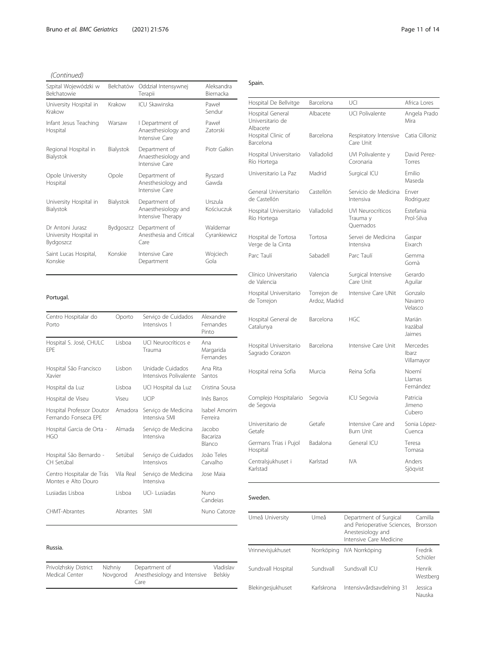| Szpital Wojewódzki w<br><b>Bełchatowie</b>              | Bełchatów | Oddział Intensywnej<br>Terapii                            | Aleksandra<br>Biernacka  |
|---------------------------------------------------------|-----------|-----------------------------------------------------------|--------------------------|
| University Hospital in<br>Krakow                        | Krakow    | <b>ICU Skawinska</b>                                      | Paweł<br>Sendur          |
| Infant Jesus Teaching<br>Hospital                       | Warsaw    | I Department of<br>Anaesthesiology and<br>Intensive Care  | Paweł<br><b>Zatorski</b> |
| Regional Hospital in<br>Bialystok                       | Bialystok | Department of<br>Anaesthesiology and<br>Intensive Care    | Piotr Galkin             |
| Opole University<br>Hospital                            | Opole     | Department of<br>Anesthesiology and<br>Intensive Care     | Ryszard<br>Gawda         |
| University Hospital in<br>Bialystok                     | Bialystok | Department of<br>Anaesthesiology and<br>Intensive Therapy | Urszula<br>Kościuczuk    |
| Dr Antoni Jurasz<br>University Hospital in<br>Bydgoszcz | Bydgoszcz | Department of<br>Anesthesia and Critical<br>Care          | Waldemar<br>Cyrankiewicz |
| Saint Lucas Hospital,<br>Konskie                        | Konskie   | Intensive Care<br>Department                              | Wojciech<br>Gola         |

#### Portugal.

| Centro Hospitalar do<br>Porto                     | Oporto    | Serviço de Cuidados<br>Intensivos 1        | Alexandre<br>Fernandes<br>Pinto     |
|---------------------------------------------------|-----------|--------------------------------------------|-------------------------------------|
| Hospital S. José, CHULC<br>FPF                    | Lisboa    | UCI Neurocríticos e<br>Trauma              | Ana<br>Margarida<br>Fernandes       |
| Hospital São Francisco<br>Xavier                  | I isbon   | Unidade Cuidados<br>Intensivos Polivalente | Ana Rita<br>Santos                  |
| Hospital da Luz                                   | Lisboa    | UCI Hospital da Luz                        | Cristina Sousa                      |
| Hospital de Viseu                                 | Viseu     | UCIP                                       | Inês Barros                         |
| Hospital Professor Doutor<br>Fernando Fonseca FPF | Amadora   | Servico de Medicina<br>Intensiva SMI       | Isabel Amorim<br>Ferreira           |
| Hospital Garcia de Orta -<br>HGO                  | Almada    | Serviço de Medicina<br>Intensiva           | Jacobo<br><b>Bacariza</b><br>Blanco |
| Hospital São Bernardo -<br>CH Setúbal             | Setúbal   | Servico de Cuidados<br>Intensivos          | João Teles<br>Carvalho              |
| Centro Hospitalar de Trás<br>Montes e Alto Douro  | Vila Real | Serviço de Medicina<br>Intensiva           | Jose Maia                           |
| Lusiadas Lisboa                                   | Lisboa    | UCI- Lusiadas                              | Nuno<br>Candeias                    |
| <b>CHMT-Abrantes</b>                              | Abrantes  | SMI                                        | Nuno Catorze                        |

#### Russia.

| Privolzhskiy District<br>Medical Center | Nizhniy | Department of<br>Novgorod Anesthesiology and Intensive<br>Care | Vladislav<br>Belskiy |
|-----------------------------------------|---------|----------------------------------------------------------------|----------------------|
|                                         |         |                                                                |                      |

#### Spain.

| Hospital De Bellvitge                            | Barcelona                    | UCI                                              | Africa Lores                    |
|--------------------------------------------------|------------------------------|--------------------------------------------------|---------------------------------|
| Hospital General<br>Universitario de<br>Albacete | Albacete                     | <b>UCI Polivalente</b>                           | Angela Prado<br>Mira            |
| Hospital Clinic of<br>Barcelona                  | Barcelona                    | Respiratory Intensive<br>Care Unit               | Catia Cilloniz                  |
| Hospital Universitario<br>Río Hortega            | Valladolid                   | UVI Polivalente y<br>Coronaria                   | David Perez-<br>Torres          |
| Universitario La Paz                             | Madrid                       | Surgical ICU                                     | <b>Fmilio</b><br>Maseda         |
| General Universitario<br>de Castellón            | Castellón                    | Servicio de Medicina<br>Intensiva                | Enver<br>Rodriguez              |
| Hospital Universitario<br>Río Hortega            | Valladolid                   | <b>UVI Neurocríticos</b><br>Trauma y<br>Ouemados | Estefania<br>Prol-Silva         |
| Hospital de Tortosa<br>Verge de la Cinta         | Tortosa                      | Servei de Medicina<br>Intensiva                  | Gaspar<br>Fixarch               |
| Parc Taulí                                       | Sabadell                     | Parc Taulí                                       | Gemma<br>Gomà                   |
| Clínico Universitario<br>de Valencia             | Valencia                     | Surgical Intensive<br>Care Unit                  | Gerardo<br>Aquilar              |
| Hospital Universitario<br>de Torrejon            | Torrejon de<br>Ardoz, Madrid | Intensive Care UNit                              | Gonzalo<br>Navarro<br>Velasco   |
| Hospital General de<br>Catalunya                 | Barcelona                    | <b>HGC</b>                                       | Marián<br>Irazábal<br>Jaimes    |
| Hospital Universitario<br>Sagrado Corazon        | Barcelona                    | Intensive Care Unit                              | Mercedes<br>Ibarz<br>Villamayor |
| Hospital reina Sofía                             | Murcia                       | Reina Sofía                                      | Noemí<br>I lamas<br>Fernández   |
| Complejo Hospitalario<br>de Segovia              | Segovia                      | ICU Segovia                                      | Patricia<br>Jimeno<br>Cubero    |
| Universitario de<br>Getafe                       | Getafe                       | Intensive Care and<br><b>Burn Unit</b>           | Sonia López-<br>Cuenca          |
| Germans Trias i Pujol<br>Hospital                | Badalona                     | General ICU                                      | Teresa<br>Tomasa                |
| Centralsjukhuset i<br>Karlstad                   | Karlstad                     | IVA                                              | Anders<br>Sjögvist              |

#### Sweden.

| Umeå University    | Umeå       | Department of Surgical<br>and Perioperative Sciences,<br>Anestesiology and<br>Intensive Care Medicine | Camilla<br><b>Brorsson</b> |
|--------------------|------------|-------------------------------------------------------------------------------------------------------|----------------------------|
| Vrinnevisjukhuset  | Norrköping | IVA Norrköping                                                                                        | Fredrik<br>Schiöler        |
| Sundsvall Hospital | Sundsvall  | Sundsvall ICU                                                                                         | Henrik<br>Westberg         |
| Blekingesjukhuset  | Karlskrona | Intensivvårdsavdelning 31                                                                             | Jessica<br>Nauska          |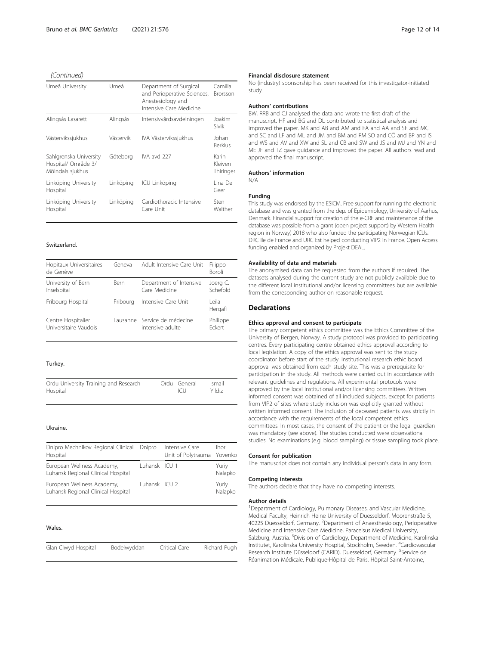| Umeå University                                                   | Umeå      | Department of Surgical<br>and Perioperative Sciences,<br>Anestesiology and<br>Intensive Care Medicine | Camilla<br>Brorsson           |
|-------------------------------------------------------------------|-----------|-------------------------------------------------------------------------------------------------------|-------------------------------|
| Alingsås Lasarett                                                 | Alingsås  | Intensivvårdsavdelningen                                                                              | Joakim<br>Sivik               |
| Västervikssjukhus                                                 | Västervik | IVA Västervikssjukhus                                                                                 | Johan<br><b>Berkius</b>       |
| Sahlgrenska University<br>Hospital/ Område 3/<br>Mölndals sjukhus | Göteborg  | IVA avd 227                                                                                           | Karin<br>Kleiven<br>Thiringer |
| Linköping University<br>Hospital                                  | Linköping | ICU Linköping                                                                                         | Lina De<br>Geer               |
| Linköping University<br>Hospital                                  | Linköping | Cardiothoracic Intensive<br>Care Unit                                                                 | Sten<br>Walther               |

#### Switzerland.

| Hopitaux Universitaires<br>de Genève | Geneva      | Adult Intensive Care Unit    | Filippo<br><b>Boroli</b> |
|--------------------------------------|-------------|------------------------------|--------------------------|
| University of Bern                   | <b>Bern</b> | Department of Intensive      | Joerg C.                 |
| Inselspital                          |             | Care Medicine                | Schefold                 |
| Fribourg Hospital                    | Friboura    | Intensive Care Unit          | l eila<br>Hergafi        |
| Centre Hospitalier                   |             | Lausanne Service de médecine | Philippe                 |
| Universitaire Vaudois                |             | intensive adulte             | Fckert                   |

#### Turkey.

| Ordu University Training and Research<br>Hospital |  | Ordu General<br> C | Ismail<br>Yıldız |
|---------------------------------------------------|--|--------------------|------------------|
|                                                   |  |                    |                  |

#### Ukraine.

| Dnipro Mechnikov Regional Clinical<br>Hospital                   | Dnipro        | Intensive Care<br>Unit of Polytrauma Yovenko | <b>Ihor</b>      |
|------------------------------------------------------------------|---------------|----------------------------------------------|------------------|
| European Wellness Academy,<br>Luhansk Regional Clinical Hospital | Luhansk ICU 1 |                                              | Yuriy<br>Nalapko |
| European Wellness Academy,<br>Luhansk Regional Clinical Hospital | Luhansk ICU 2 |                                              | Yuriy<br>Nalapko |

#### Wales.

| Glan Clwyd Hospital<br>Richard Pugh<br>Bodelwyddan<br>Critical Care |  |
|---------------------------------------------------------------------|--|
|---------------------------------------------------------------------|--|

#### Financial disclosure statement

No (industry) sponsorship has been received for this investigator-initiated study.

#### Authors' contributions

BW, RRB and CJ analysed the data and wrote the first draft of the manuscript. HF and BG and DL contributed to statistical analysis and improved the paper. MK and AB and AM and FA and AA and SF and MC and SC and LF and ML and JM and BM and RM SO and CÖ and BP and IS and WS and AV and XW and SL and CB and SW and JS and MJ and YN and ME JF and TZ gave guidance and improved the paper. All authors read and approved the final manuscript.

#### Authors' information

N/A

#### Funding

This study was endorsed by the ESICM. Free support for running the electronic database and was granted from the dep. of Epidemiology, University of Aarhus, Denmark. Financial support for creation of the e-CRF and maintenance of the database was possible from a grant (open project support) by Western Health region in Norway) 2018 who also funded the participating Norwegian ICUs. DRC Ile de France and URC Est helped conducting VIP2 in France. Open Access funding enabled and organized by Projekt DEAL.

#### Availability of data and materials

The anonymised data can be requested from the authors if required. The datasets analysed during the current study are not publicly available due to the different local institutional and/or licensing committees but are available from the corresponding author on reasonable request.

#### **Declarations**

#### Ethics approval and consent to participate

The primary competent ethics committee was the Ethics Committee of the University of Bergen, Norway. A study protocol was provided to participating centres. Every participating centre obtained ethics approval according to local legislation. A copy of the ethics approval was sent to the study coordinator before start of the study. Institutional research ethic board approval was obtained from each study site. This was a prerequisite for participation in the study. All methods were carried out in accordance with relevant guidelines and regulations. All experimental protocols were approved by the local institutional and/or licensing committees. Written informed consent was obtained of all included subjects, except for patients from VIP2 of sites where study inclusion was explicitly granted without written informed consent. The inclusion of deceased patients was strictly in accordance with the requirements of the local competent ethics committees. In most cases, the consent of the patient or the legal guardian was mandatory (see above). The studies conducted were observational studies. No examinations (e.g. blood sampling) or tissue sampling took place.

#### Consent for publication

The manuscript does not contain any individual person's data in any form.

#### Competing interests

The authors declare that they have no competing interests.

#### Author details

<sup>1</sup> Department of Cardiology, Pulmonary Diseases, and Vascular Medicine, Medical Faculty, Heinrich Heine University of Duesseldorf, Moorenstraße 5, 40225 Duesseldorf, Germany. <sup>2</sup>Department of Anaesthesiology, Perioperative Medicine and Intensive Care Medicine, Paracelsus Medical University, Salzburg, Austria. <sup>3</sup> Division of Cardiology, Department of Medicine, Karolinska Institutet, Karolinska University Hospital, Stockholm, Sweden. <sup>4</sup>Cardiovascular Research Institute Düsseldorf (CARID), Duesseldorf, Germany. <sup>5</sup>Service de Réanimation Médicale, Publique-Hôpital de Paris, Hôpital Saint-Antoine,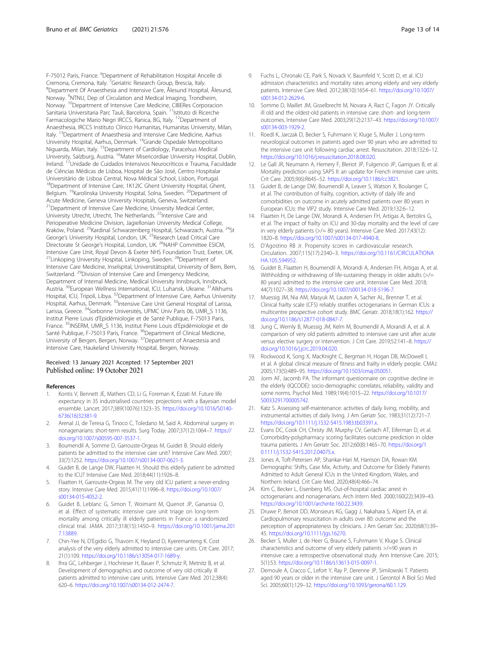F-75012 Paris, France. <sup>6</sup>Department of Rehabilitation Hospital Ancelle di Cremona, Cremona, Italy. <sup>7</sup>Geriatric Research Group, Brescia, Italy.<br><sup>8</sup>Denartment Of Anaesthesia and Intensive Care, Ålesund Hospita Department Of Anaesthesia and Intensive Care, Ålesund Hospital, Ålesund, Norway. <sup>9</sup>NTNU, Dep of Circulation and Medical Imaging, Trondheim, Norway. <sup>10</sup>Department of Intensive Care Medicine, CIBERes Corporacion Sanitaria Universitaria Parc Tauli, Barcelona, Spain. <sup>11</sup>Istituto di Ricerche Farmacologiche Mario Negri IRCCS, Ranica, BG, Italy. <sup>12</sup>Department of Anaesthesia, IRCCS Instituto Clínico Humanitas, Humanitas University, Milan, Italy. <sup>13</sup> Department of Anaesthesia and Intensive Care Medicine, Aarhus University Hospital, Aarhus, Denmark. 14Grande Ospedale Metropolitano Niguarda, Milan, Italy. 15Department of Cardiology, Paracelsus Medical University, Salzburg, Austria. <sup>16</sup>Mater Misericordiae University Hospital, Dublin, Ireland. 17Unidade de Cuidados Intensivos Neurocríticos e Trauma, Faculdade de Ciências Médicas de Lisboa, Hospital de São José, Centro Hospitalar Universitário de Lisboa Central, Nova Médical School, Lisbon, Portugal. <sup>18</sup>Department of Intensive Care, 1K12IC Ghent University Hospital, Ghent, Belgium. <sup>19</sup>Karolinska University Hospital, Solna, Sweden. <sup>20</sup>Department of Acute Medicine, Geneva University Hospitals, Geneva, Switzerland. <sup>21</sup> Department of Intensive Care Medicine, University Medical Center, University Utrecht, Utrecht, The Netherlands. <sup>22</sup>Intensive Care and Perioperative Medicine Division, Jagiellonian University Medical College, Kraków, Poland. <sup>23</sup>Kardinal Schwarzenberg Hospital, Schwarzach, Austria. <sup>24</sup>St George's University Hospital, London, UK.<sup>25</sup>Research Lead Critical Care Directorate St George's Hospital, London, UK. <sup>26</sup>NAHP Committee ESICM, Intensive Care Unit, Royal Devon & Exeter NHS Foundation Trust, Exeter, UK. <sup>27</sup>Linkoping University Hospital, Linkoping, Sweden.<sup>28</sup>Department of Intensive Care Medicine, Inselspital, Universitätsspital, University of Bern, Bern, Switzerland. 29Division of Intensive Care and Emergency Medicine, Department of Internal Medicine, Medical University Innsbruck, Innsbruck, Austria. 30European Wellness International, ICU, Luhansk, Ukraine. 31Alkhums Hospital, ICU, Tripoli, Libya. 32Department of Intensive Care, Aarhus University Hospital, Aarhus, Denmark. 33Intensive Care Unit General Hospital of Larissa, Larissa, Greece. <sup>34</sup>Sorbonne Universités, UPMC Univ Paris 06, UMR\_S 1136, Institut Pierre Louis d'Epidémiologie et de Santé Publique, F-75013 Paris, France. <sup>35</sup>INSERM, UMR S 1136, Institut Pierre Louis d'Epidémiologie et de Santé Publique, F-75013 Paris, France. <sup>36</sup>Department of Clinical Medicine, University of Bergen, Bergen, Norway. <sup>37</sup>Department of Anaestesia and Intensive Care, Haukeland University Hospital, Bergen, Norway.

#### Received: 13 January 2021 Accepted: 17 September 2021 Published online: 19 October 2021

#### References

- Kontis V, Bennett JE, Mathers CD, Li G, Foreman K, Ezzati M. Future life expectancy in 35 industrialised countries: projections with a Bayesian model ensemble. Lancet. 2017;389(10076):1323–35. [https://doi.org/10.1016/S0140-](https://doi.org/10.1016/S0140-6736(16)32381-9) [6736\(16\)32381-9](https://doi.org/10.1016/S0140-6736(16)32381-9).
- 2. Arenal JJ, de Teresa G, Tinoco C, Toledano M, Said A. Abdominal surgery in nonagenarians: short-term results. Surg Today. 2007;37(12):1064–7. [https://](https://doi.org/10.1007/s00595-007-3537-1) [doi.org/10.1007/s00595-007-3537-1](https://doi.org/10.1007/s00595-007-3537-1).
- Boumendil A, Somme D, Garrouste-Orgeas M, Guidet B. Should elderly patients be admitted to the intensive care unit? Intensive Care Med. 2007; 33(7):1252. <https://doi.org/10.1007/s00134-007-0621-3>.
- 4. Guidet B, de Lange DW, Flaatten H. Should this elderly patient be admitted to the ICU? Intensive Care Med. 2018;44(11):1926–8.
- 5. Flaatten H, Garrouste-Orgeas M. The very old ICU patient: a never-ending story. Intensive Care Med. 2015;41(11):1996–8. [https://doi.org/10.1007/](https://doi.org/10.1007/s00134-015-4052-2) [s00134-015-4052-2.](https://doi.org/10.1007/s00134-015-4052-2)
- 6. Guidet B, Leblanc G, Simon T, Woimant M, Quenot JP, Ganansia O, et al. Effect of systematic intensive care unit triage on long-term mortality among critically ill elderly patients in France: a randomized clinical trial. JAMA. 2017;318(15):1450–9. [https://doi.org/10.1001/jama.201](https://doi.org/10.1001/jama.2017.13889) [7.13889.](https://doi.org/10.1001/jama.2017.13889)
- 7. Chin-Yee N, D'Egidio G, Thavorn K, Heyland D, Kyeremanteng K. Cost analysis of the very elderly admitted to intensive care units. Crit Care. 2017; 21(1):109. <https://doi.org/10.1186/s13054-017-1689-y>.
- Ihra GC, Lehberger J, Hochrieser H, Bauer P, Schmutz R, Metnitz B, et al. Development of demographics and outcome of very old critically ill patients admitted to intensive care units. Intensive Care Med. 2012;38(4): 620–6. [https://doi.org/10.1007/s00134-012-2474-7.](https://doi.org/10.1007/s00134-012-2474-7)
- 9. Fuchs L, Chronaki CE, Park S, Novack V, Baumfeld Y, Scott D, et al. ICU admission characteristics and mortality rates among elderly and very elderly
- patients. Intensive Care Med. 2012;38(10):1654–61. [https://doi.org/10.1007/](https://doi.org/10.1007/s00134-012-2629-6) [s00134-012-2629-6.](https://doi.org/10.1007/s00134-012-2629-6) 10. Somme D, Maillet JM, Gisselbrecht M, Novara A, Ract C, Fagon JY. Critically
- ill old and the oldest-old patients in intensive care: short- and long-term outcomes. Intensive Care Med. 2003;29(12):2137–43. [https://doi.org/10.1007/](https://doi.org/10.1007/s00134-003-1929-2) [s00134-003-1929-2.](https://doi.org/10.1007/s00134-003-1929-2)
- 11. Roedl K, Jarczak D, Becker S, Fuhrmann V, Kluge S, Muller J. Long-term neurological outcomes in patients aged over 90 years who are admitted to the intensive care unit following cardiac arrest. Resuscitation. 2018;132:6–12. <https://doi.org/10.1016/j.resuscitation.2018.08.020>.
- 12. Le Gall JR, Neumann A, Hemery F, Bleriot JP, Fulgencio JP, Garrigues B, et al. Mortality prediction using SAPS II: an update for French intensive care units. Crit Care. 2005;9(6):R645–52. [https://doi.org/10.1186/cc3821.](https://doi.org/10.1186/cc3821)
- 13. Guidet B, de Lange DW, Boumendil A, Leaver S, Watson X, Boulanger C, et al. The contribution of frailty, cognition, activity of daily life and comorbidities on outcome in acutely admitted patients over 80 years in European ICUs: the VIP2 study. Intensive Care Med. 2019;132:6–12.
- 14. Flaatten H, De Lange DW, Morandi A, Andersen FH, Artigas A, Bertolini G, et al. The impact of frailty on ICU and 30-day mortality and the level of care in very elderly patients (>/= 80 years). Intensive Care Med. 2017;43(12): 1820–8. <https://doi.org/10.1007/s00134-017-4940-8>.
- 15. D'Agostino RB Jr. Propensity scores in cardiovascular research. Circulation. 2007;115(17):2340–3. [https://doi.org/10.1161/CIRCULATIONA](https://doi.org/10.1161/CIRCULATIONAHA.105.594952) [HA.105.594952.](https://doi.org/10.1161/CIRCULATIONAHA.105.594952)
- 16. Guidet B, Flaatten H, Boumendil A, Morandi A, Andersen FH, Artigas A, et al. Withholding or withdrawing of life-sustaining therapy in older adults (>/= 80 years) admitted to the intensive care unit. Intensive Care Med. 2018; 44(7):1027–38. [https://doi.org/10.1007/s00134-018-5196-7.](https://doi.org/10.1007/s00134-018-5196-7)
- 17. Muessig JM, Nia AM, Masyuk M, Lauten A, Sacher AL, Brenner T, et al. Clinical frailty scale (CFS) reliably stratifies octogenarians in German ICUs: a multicentre prospective cohort study. BMC Geriatr. 2018;18(1):162. [https://](https://doi.org/10.1186/s12877-018-0847-7) [doi.org/10.1186/s12877-018-0847-7.](https://doi.org/10.1186/s12877-018-0847-7)
- 18. Jung C, Wernly B, Muessig JM, Kelm M, Boumendil A, Morandi A, et al. A comparison of very old patients admitted to intensive care unit after acute versus elective surgery or intervention. J Crit Care. 2019;52:141–8. [https://](https://doi.org/10.1016/j.jcrc.2019.04.020) [doi.org/10.1016/j.jcrc.2019.04.020](https://doi.org/10.1016/j.jcrc.2019.04.020).
- 19. Rockwood K, Song X, MacKnight C, Bergman H, Hogan DB, McDowell I, et al. A global clinical measure of fitness and frailty in elderly people. CMAJ. 2005;173(5):489–95. [https://doi.org/10.1503/cmaj.050051.](https://doi.org/10.1503/cmaj.050051)
- 20. Jorm AF, Jacomb PA. The informant questionnaire on cognitive decline in the elderly (IQCODE): socio-demographic correlates, reliability, validity and some norms. Psychol Med. 1989;19(4):1015–22. [https://doi.org/10.1017/](https://doi.org/10.1017/S0033291700005742) [S0033291700005742.](https://doi.org/10.1017/S0033291700005742)
- 21. Katz S. Assessing self-maintenance: activities of daily living, mobility, and instrumental activities of daily living. J Am Geriatr Soc. 1983;31(12):721–7. <https://doi.org/10.1111/j.1532-5415.1983.tb03391.x>.
- 22. Evans DC, Cook CH, Christy JM, Murphy CV, Gerlach AT, Eiferman D, et al. Comorbidity-polypharmacy scoring facilitates outcome prediction in older trauma patients. J Am Geriatr Soc. 2012;60(8):1465–70. [https://doi.org/1](https://doi.org/10.1111/j.1532-5415.2012.04075.x) [0.1111/j.1532-5415.2012.04075.x.](https://doi.org/10.1111/j.1532-5415.2012.04075.x)
- 23. Jones A, Toft-Petersen AP, Shankar-Hari M, Harrison DA, Rowan KM. Demographic Shifts, Case Mix, Activity, and Outcome for Elderly Patients Admitted to Adult General ICUs in the United Kingdom, Wales, and Northern Ireland. Crit Care Med. 2020;48(4):466–74.
- 24. Kim C, Becker L, Eisenberg MS. Out-of-hospital cardiac arrest in octogenarians and nonagenarians. Arch Intern Med. 2000;160(22):3439–43. <https://doi.org/10.1001/archinte.160.22.3439>.
- 25. Druwe P, Benoit DD, Monsieurs KG, Gagg J, Nakahara S, Alpert EA, et al. Cardiopulmonary resuscitation in adults over 80: outcome and the perception of appropriateness by clinicians. J Am Geriatr Soc. 2020;68(1):39– 45. <https://doi.org/10.1111/jgs.16270>.
- 26. Becker S, Muller J, de Heer G, Braune S, Fuhrmann V, Kluge S. Clinical characteristics and outcome of very elderly patients >/=90 years in intensive care: a retrospective observational study. Ann Intensive Care. 2015; 5(1):53. [https://doi.org/10.1186/s13613-015-0097-1.](https://doi.org/10.1186/s13613-015-0097-1)
- 27. Demoule A, Cracco C, Lefort Y, Ray P, Derenne JP, Similowski T. Patients aged 90 years or older in the intensive care unit. J Gerontol A Biol Sci Med Sci. 2005;60(1):129–32. <https://doi.org/10.1093/gerona/60.1.129>.